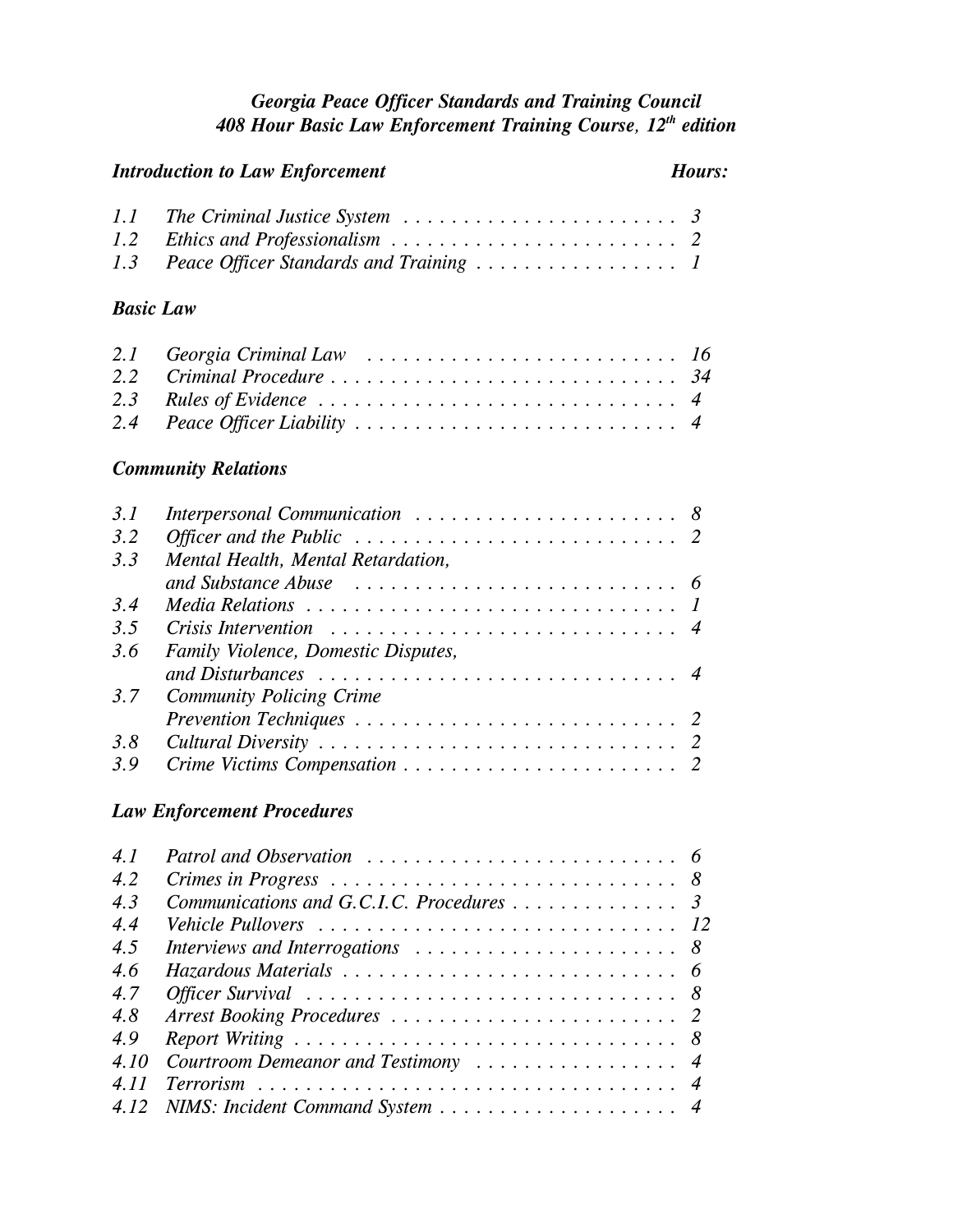## *Georgia Peace Officer Standards and Training Council 408 Hour Basic Law Enforcement Training Course, 12th edition*

| <b>Introduction to Law Enforcement</b> |                                                                                                                        |                                                      |
|----------------------------------------|------------------------------------------------------------------------------------------------------------------------|------------------------------------------------------|
| 1.1<br>1.2<br>1.3                      | The Criminal Justice System $\ldots \ldots \ldots \ldots \ldots \ldots \ldots$<br>Peace Officer Standards and Training | 3                                                    |
| <b>Basic Law</b>                       |                                                                                                                        |                                                      |
| 2.1<br>2.2<br>2.3<br>2.4               | Georgia Criminal Law $\ldots \ldots \ldots \ldots \ldots \ldots \ldots \ldots \ldots 16$<br>Criminal Procedure         | 34<br>$\overline{4}$<br>$\boldsymbol{4}$             |
|                                        | <b>Community Relations</b>                                                                                             |                                                      |
| 3.1<br>3.2<br>3.3<br>3.4               | Officer and the Public $\dots \dots \dots \dots \dots \dots \dots \dots \dots$<br>Mental Health, Mental Retardation,   | 8<br>6<br>1                                          |
| 3.5                                    |                                                                                                                        | $\overline{4}$                                       |
| 3.6<br>3.7<br>3.8<br>3.9               | Family Violence, Domestic Disputes,<br><b>Community Policing Crime</b><br><b>Law Enforcement Procedures</b>            | $\overline{4}$<br>2                                  |
| 4.1<br>4.2<br>4.3<br>4.4               | Communications and G.C.I.C. Procedures                                                                                 | 6<br>8<br>$\mathfrak{Z}$<br>12                       |
| 4.5<br>4.6<br>4.7<br>4.8<br>4.9        | Interviews and Interrogations<br>Officer Survival                                                                      | 8<br>6<br>8<br>$\overline{2}$<br>8                   |
| 4.10<br>4.11<br>4.12                   | Courtroom Demeanor and Testimony                                                                                       | $\boldsymbol{4}$<br>$\overline{4}$<br>$\overline{4}$ |